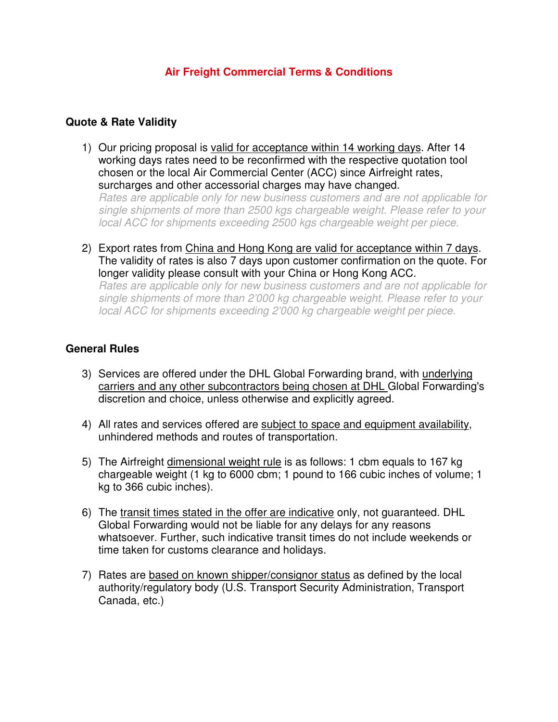# **Air Freight Commercial Terms & Conditions**

### **Quote & Rate Validity**

- 1) Our pricing proposal is valid for acceptance within 14 working days. After 14 working days rates need to be reconfirmed with the respective quotation tool chosen or the local Air Commercial Center (ACC) since Airfreight rates, surcharges and other accessorial charges may have changed. Rates are applicable only for new business customers and are not applicable for single shipments of more than 2500 kgs chargeable weight. Please refer to your local ACC for shipments exceeding 2500 kgs chargeable weight per piece.
- 2) Export rates from China and Hong Kong are valid for acceptance within 7 days. The validity of rates is also 7 days upon customer confirmation on the quote. For longer validity please consult with your China or Hong Kong ACC. Rates are applicable only for new business customers and are not applicable for single shipments of more than 2'000 kg chargeable weight. Please refer to your local ACC for shipments exceeding 2'000 kg chargeable weight per piece.

### **General Rules**

- 3) Services are offered under the DHL Global Forwarding brand, with underlying carriers and any other subcontractors being chosen at DHL Global Forwarding's discretion and choice, unless otherwise and explicitly agreed.
- 4) All rates and services offered are subject to space and equipment availability, unhindered methods and routes of transportation.
- 5) The Airfreight dimensional weight rule is as follows: 1 cbm equals to 167 kg chargeable weight (1 kg to 6000 cbm; 1 pound to 166 cubic inches of volume; 1 kg to 366 cubic inches).
- 6) The transit times stated in the offer are indicative only, not guaranteed. DHL Global Forwarding would not be liable for any delays for any reasons whatsoever. Further, such indicative transit times do not include weekends or time taken for customs clearance and holidays.
- 7) Rates are based on known shipper/consignor status as defined by the local authority/regulatory body (U.S. Transport Security Administration, Transport Canada, etc.)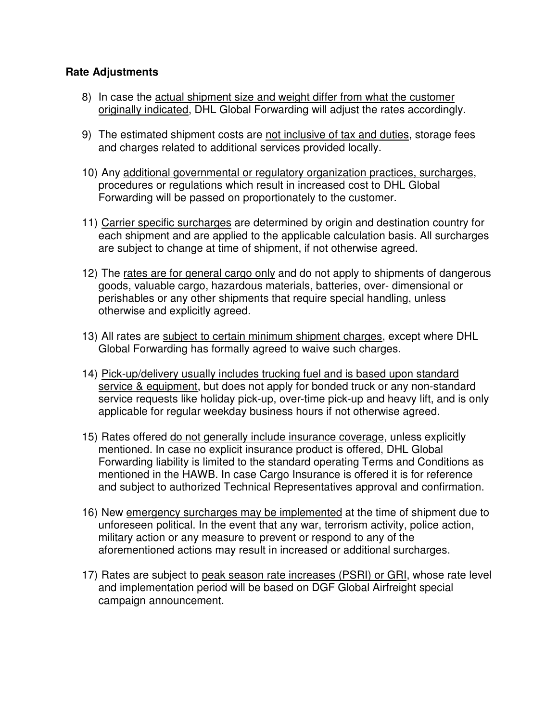## **Rate Adjustments**

- 8) In case the actual shipment size and weight differ from what the customer originally indicated, DHL Global Forwarding will adjust the rates accordingly.
- 9) The estimated shipment costs are not inclusive of tax and duties, storage fees and charges related to additional services provided locally.
- 10) Any additional governmental or regulatory organization practices, surcharges, procedures or regulations which result in increased cost to DHL Global Forwarding will be passed on proportionately to the customer.
- 11) Carrier specific surcharges are determined by origin and destination country for each shipment and are applied to the applicable calculation basis. All surcharges are subject to change at time of shipment, if not otherwise agreed.
- 12) The rates are for general cargo only and do not apply to shipments of dangerous goods, valuable cargo, hazardous materials, batteries, over- dimensional or perishables or any other shipments that require special handling, unless otherwise and explicitly agreed.
- 13) All rates are subject to certain minimum shipment charges, except where DHL Global Forwarding has formally agreed to waive such charges.
- 14) Pick-up/delivery usually includes trucking fuel and is based upon standard service & equipment, but does not apply for bonded truck or any non-standard service requests like holiday pick-up, over-time pick-up and heavy lift, and is only applicable for regular weekday business hours if not otherwise agreed.
- 15) Rates offered do not generally include insurance coverage, unless explicitly mentioned. In case no explicit insurance product is offered, DHL Global Forwarding liability is limited to the standard operating Terms and Conditions as mentioned in the HAWB. In case Cargo Insurance is offered it is for reference and subject to authorized Technical Representatives approval and confirmation.
- 16) New emergency surcharges may be implemented at the time of shipment due to unforeseen political. In the event that any war, terrorism activity, police action, military action or any measure to prevent or respond to any of the aforementioned actions may result in increased or additional surcharges.
- 17) Rates are subject to peak season rate increases (PSRI) or GRI, whose rate level and implementation period will be based on DGF Global Airfreight special campaign announcement.